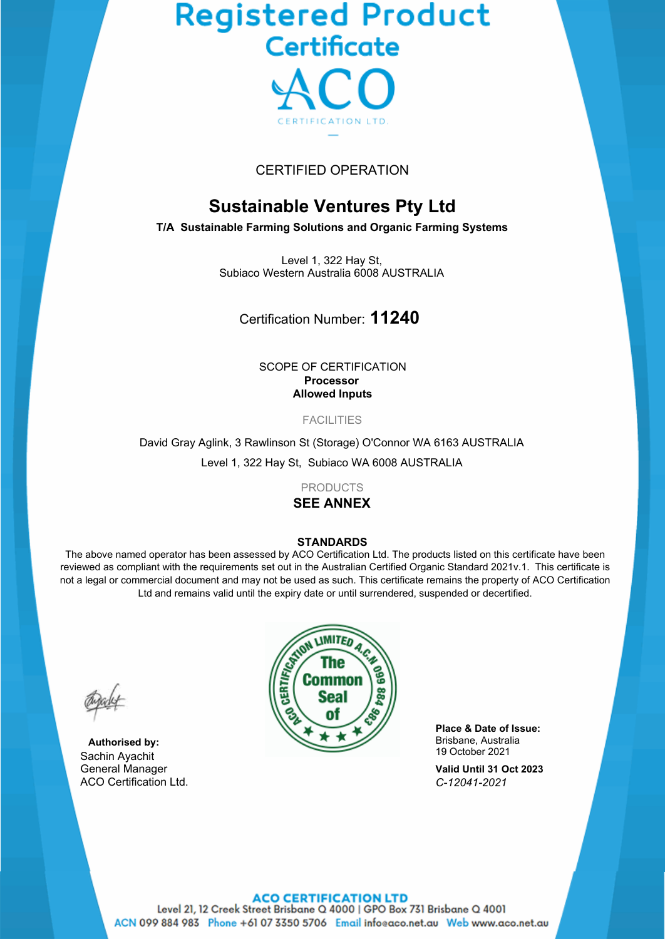# Registered Product<br>Certificate



# CERTIFIED OPERATION

# **Sustainable Ventures Pty Ltd**

**T/A Sustainable Farming Solutions and Organic Farming Systems**

Level 1, 322 Hay St, Subiaco Western Australia 6008 AUSTRALIA

Certification Number: **11240**

SCOPE OF CERTIFICATION **Processor Allowed Inputs**

FACILITIES

David Gray Aglink, 3 Rawlinson St (Storage) O'Connor WA 6163 AUSTRALIA Level 1, 322 Hay St, Subiaco WA 6008 AUSTRALIA

PRODUCTS

# **SEE ANNEX**

#### **STANDARDS**

The above named operator has been assessed by ACO Certification Ltd. The products listed on this certificate have been reviewed as compliant with the requirements set out in the Australian Certified Organic Standard 2021v.1. This certificate is not a legal or commercial document and may not be used as such. This certificate remains the property of ACO Certification Ltd and remains valid until the expiry date or until surrendered, suspended or decertified.

**Authorised by:** Sachin Ayachit General Manager ACO Certification Ltd.



**Place & Date of Issue:** Brisbane, Australia 19 October 2021

**Valid Until 31 Oct 2023** *C-12041-2021*

# **ACO CERTIFICATION LTD**

Level 21, 12 Creek Street Brisbane Q 4000 | GPO Box 731 Brisbane Q 4001 ACN 099 884 983 Phone +61 07 3350 5706 Email infoeaco.net.au Web www.aco.net.au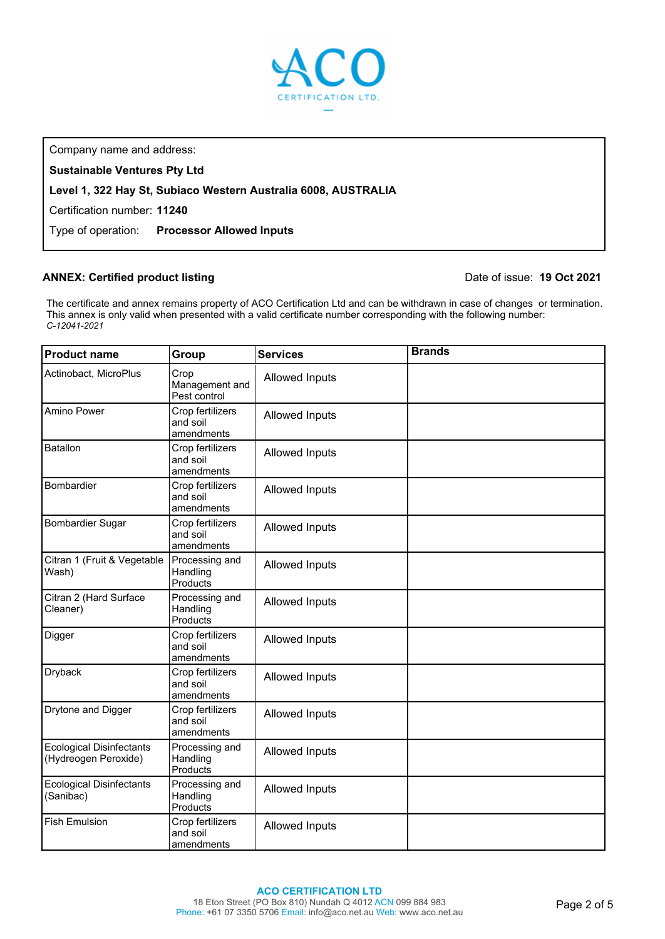

Company name and address:

**Sustainable Ventures Pty Ltd**

# **Level 1, 322 Hay St, Subiaco Western Australia 6008, AUSTRALIA**

Certification number: **11240**

Type of operation: **Processor Allowed Inputs**

## **ANNEX: Certified product listing**

## Date of issue: **19 Oct 2021**

The certificate and annex remains property of ACO Certification Ltd and can be withdrawn in case of changes or termination. This annex is only valid when presented with a valid certificate number corresponding with the following number: *C-12041-2021*

| <b>Product name</b>                                     | Group                                      | <b>Services</b> | <b>Brands</b> |
|---------------------------------------------------------|--------------------------------------------|-----------------|---------------|
| Actinobact, MicroPlus                                   | Crop<br>Management and<br>Pest control     | Allowed Inputs  |               |
| Amino Power                                             | Crop fertilizers<br>and soil<br>amendments | Allowed Inputs  |               |
| <b>Batallon</b>                                         | Crop fertilizers<br>and soil<br>amendments | Allowed Inputs  |               |
| Bombardier                                              | Crop fertilizers<br>and soil<br>amendments | Allowed Inputs  |               |
| <b>Bombardier Sugar</b>                                 | Crop fertilizers<br>and soil<br>amendments | Allowed Inputs  |               |
| Citran 1 (Fruit & Vegetable<br>Wash)                    | Processing and<br>Handling<br>Products     | Allowed Inputs  |               |
| Citran 2 (Hard Surface<br>Cleaner)                      | Processing and<br>Handling<br>Products     | Allowed Inputs  |               |
| Digger                                                  | Crop fertilizers<br>and soil<br>amendments | Allowed Inputs  |               |
| <b>Dryback</b>                                          | Crop fertilizers<br>and soil<br>amendments | Allowed Inputs  |               |
| Drytone and Digger                                      | Crop fertilizers<br>and soil<br>amendments | Allowed Inputs  |               |
| <b>Ecological Disinfectants</b><br>(Hydreogen Peroxide) | Processing and<br>Handling<br>Products     | Allowed Inputs  |               |
| <b>Ecological Disinfectants</b><br>(Sanibac)            | Processing and<br>Handling<br>Products     | Allowed Inputs  |               |
| <b>Fish Emulsion</b>                                    | Crop fertilizers<br>and soil<br>amendments | Allowed Inputs  |               |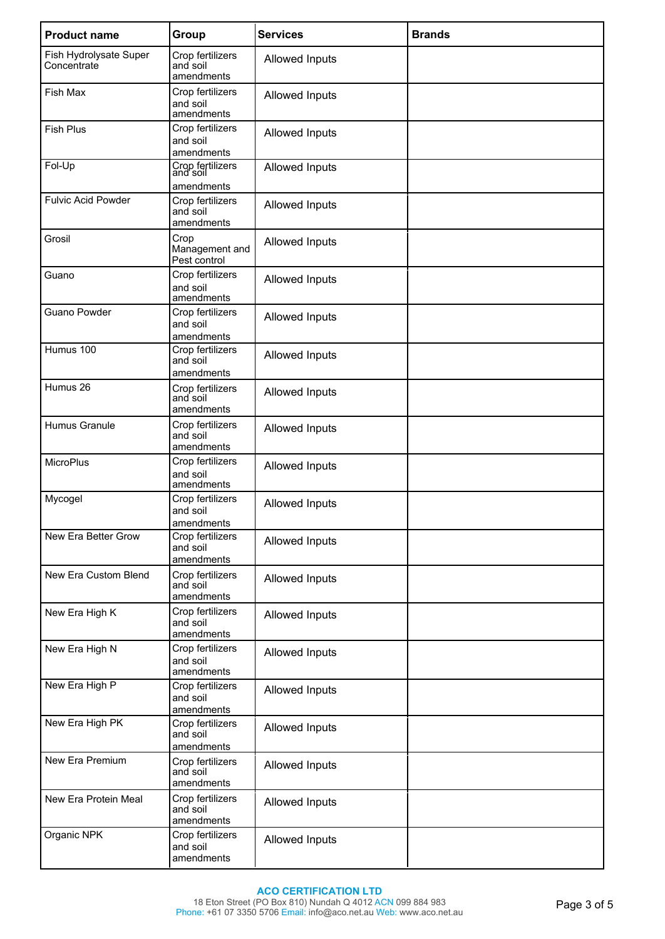| <b>Product name</b>                   | Group                                      | <b>Services</b> | <b>Brands</b> |
|---------------------------------------|--------------------------------------------|-----------------|---------------|
| Fish Hydrolysate Super<br>Concentrate | Crop fertilizers<br>and soil<br>amendments | Allowed Inputs  |               |
| Fish Max                              | Crop fertilizers<br>and soil<br>amendments | Allowed Inputs  |               |
| <b>Fish Plus</b>                      | Crop fertilizers<br>and soil<br>amendments | Allowed Inputs  |               |
| Fol-Up                                | Crop fertilizers<br>and soil<br>amendments | Allowed Inputs  |               |
| <b>Fulvic Acid Powder</b>             | Crop fertilizers<br>and soil<br>amendments | Allowed Inputs  |               |
| Grosil                                | Crop<br>Management and<br>Pest control     | Allowed Inputs  |               |
| Guano                                 | Crop fertilizers<br>and soil<br>amendments | Allowed Inputs  |               |
| <b>Guano Powder</b>                   | Crop fertilizers<br>and soil<br>amendments | Allowed Inputs  |               |
| Humus 100                             | Crop fertilizers<br>and soil<br>amendments | Allowed Inputs  |               |
| Humus 26                              | Crop fertilizers<br>and soil<br>amendments | Allowed Inputs  |               |
| Humus Granule                         | Crop fertilizers<br>and soil<br>amendments | Allowed Inputs  |               |
| <b>MicroPlus</b>                      | Crop fertilizers<br>and soil<br>amendments | Allowed Inputs  |               |
| Mycogel                               | Crop fertilizers<br>and soil<br>amendments | Allowed Inputs  |               |
| New Era Better Grow                   | Crop fertilizers<br>and soil<br>amendments | Allowed Inputs  |               |
| New Era Custom Blend                  | Crop fertilizers<br>and soil<br>amendments | Allowed Inputs  |               |
| New Era High K                        | Crop fertilizers<br>and soil<br>amendments | Allowed Inputs  |               |
| New Era High N                        | Crop fertilizers<br>and soil<br>amendments | Allowed Inputs  |               |
| New Era High P                        | Crop fertilizers<br>and soil<br>amendments | Allowed Inputs  |               |
| New Era High PK                       | Crop fertilizers<br>and soil<br>amendments | Allowed Inputs  |               |
| New Era Premium                       | Crop fertilizers<br>and soil<br>amendments | Allowed Inputs  |               |
| New Era Protein Meal                  | Crop fertilizers<br>and soil<br>amendments | Allowed Inputs  |               |
| Organic NPK                           | Crop fertilizers<br>and soil<br>amendments | Allowed Inputs  |               |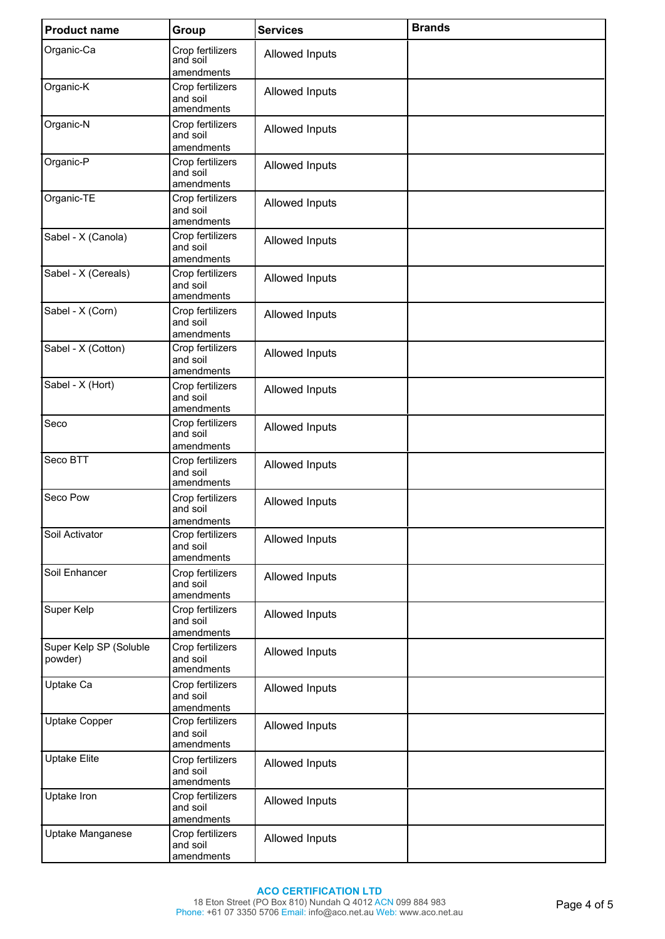| <b>Product name</b>               | Group                                      | <b>Services</b>       | <b>Brands</b> |
|-----------------------------------|--------------------------------------------|-----------------------|---------------|
| Organic-Ca                        | Crop fertilizers<br>and soil<br>amendments | Allowed Inputs        |               |
| Organic-K                         | Crop fertilizers<br>and soil<br>amendments | Allowed Inputs        |               |
| Organic-N                         | Crop fertilizers<br>and soil<br>amendments | <b>Allowed Inputs</b> |               |
| Organic-P                         | Crop fertilizers<br>and soil<br>amendments | Allowed Inputs        |               |
| Organic-TE                        | Crop fertilizers<br>and soil<br>amendments | Allowed Inputs        |               |
| Sabel - X (Canola)                | Crop fertilizers<br>and soil<br>amendments | Allowed Inputs        |               |
| Sabel - X (Cereals)               | Crop fertilizers<br>and soil<br>amendments | Allowed Inputs        |               |
| Sabel - X (Corn)                  | Crop fertilizers<br>and soil<br>amendments | Allowed Inputs        |               |
| Sabel - X (Cotton)                | Crop fertilizers<br>and soil<br>amendments | Allowed Inputs        |               |
| Sabel - X (Hort)                  | Crop fertilizers<br>and soil<br>amendments | Allowed Inputs        |               |
| Seco                              | Crop fertilizers<br>and soil<br>amendments | Allowed Inputs        |               |
| Seco BTT                          | Crop fertilizers<br>and soil<br>amendments | Allowed Inputs        |               |
| Seco Pow                          | Crop fertilizers<br>and soil<br>amendments | Allowed Inputs        |               |
| Soil Activator                    | Crop fertilizers<br>and soil<br>amendments | Allowed Inputs        |               |
| Soil Enhancer                     | Crop fertilizers<br>and soil<br>amendments | Allowed Inputs        |               |
| Super Kelp                        | Crop fertilizers<br>and soil<br>amendments | Allowed Inputs        |               |
| Super Kelp SP (Soluble<br>powder) | Crop fertilizers<br>and soil<br>amendments | Allowed Inputs        |               |
| Uptake Ca                         | Crop fertilizers<br>and soil<br>amendments | Allowed Inputs        |               |
| Uptake Copper                     | Crop fertilizers<br>and soil<br>amendments | Allowed Inputs        |               |
| <b>Uptake Elite</b>               | Crop fertilizers<br>and soil<br>amendments | Allowed Inputs        |               |
| Uptake Iron                       | Crop fertilizers<br>and soil<br>amendments | Allowed Inputs        |               |
| Uptake Manganese                  | Crop fertilizers<br>and soil<br>amendments | Allowed Inputs        |               |